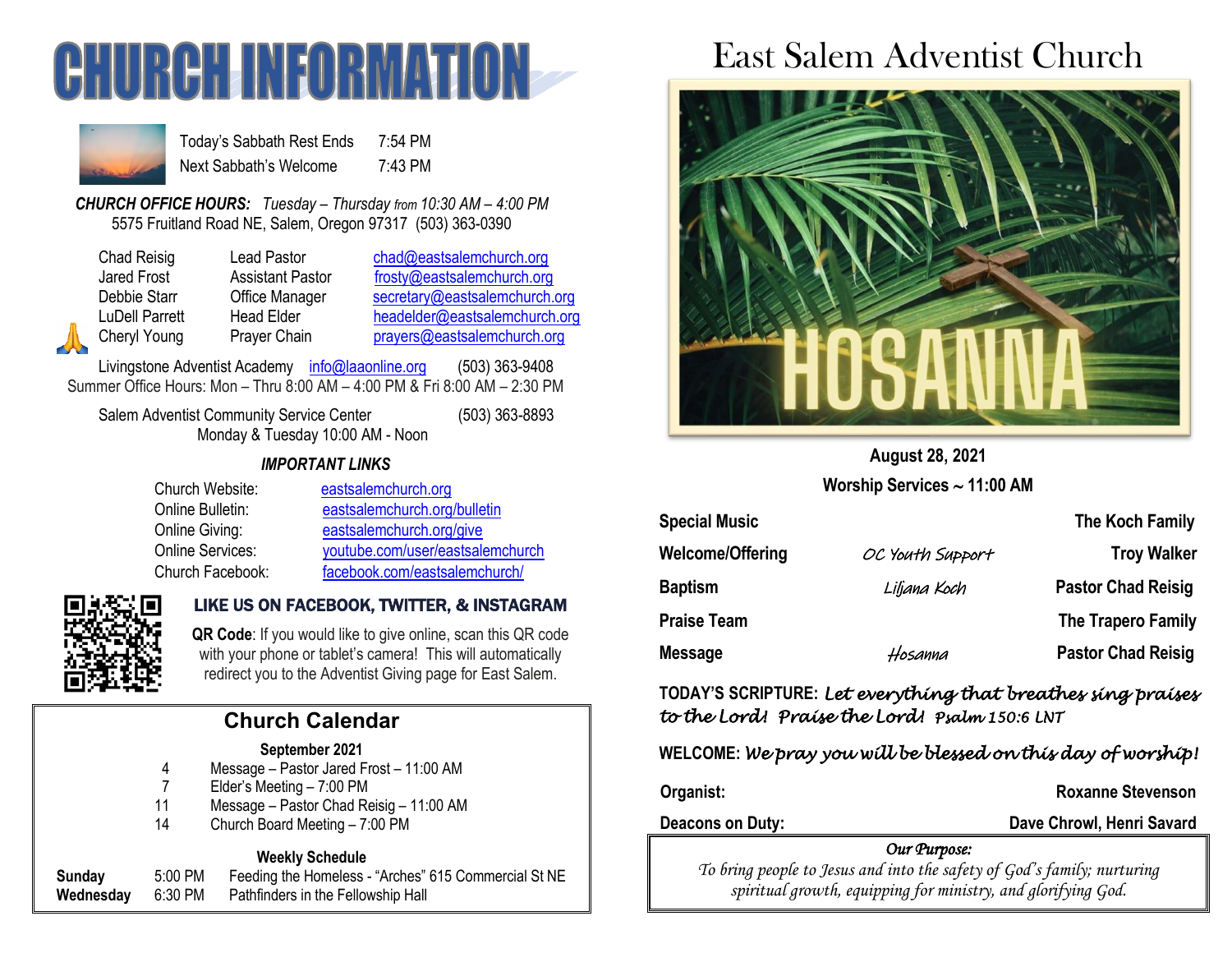



Today's Sabbath Rest Ends 7:54 PM Next Sabbath's Welcome 7:43 PM

*CHURCH OFFICE HOURS: Tuesday – Thursday from 10:30 AM – 4:00 PM* 5575 Fruitland Road NE, Salem, Oregon 97317 (503) 363-0390

Chad Reisig Lead Pastor [chad@eastsalemchurch.org](mailto:chad@eastsalemchurch.org) Jared Frost **Assistant Pastor** [frosty@eastsalemchurch.org](mailto:frosty@eastsalemchurch.org) Debbie Starr **Office Manager** [secretary@eastsalemchurch.org](mailto:secretary@eastsalemchurch.org) LuDell Parrett Head Elder [headelder@eastsalemchurch.org](mailto:headelder@eastsalemchurch.org) Cheryl Young Prayer Chain [prayers@eastsalemchurch.org](mailto:prayers@eastsalemchurch.org)

Livingstone Adventist Academy [info@laaonline.org](mailto:info@laaonline.org) (503) 363-9408 Summer Office Hours: Mon – Thru 8:00 AM – 4:00 PM & Fri 8:00 AM – 2:30 PM

Salem Adventist Community Service Center (503) 363-8893 Monday & Tuesday 10:00 AM - Noon

#### *IMPORTANT LINKS*

| Church Website:  | eastsalemchurch.org              |
|------------------|----------------------------------|
| Online Bulletin: | eastsalemchurch.org/bulletin     |
| Online Giving:   | eastsalemchurch.org/give         |
| Online Services: | youtube.com/user/eastsalemchurch |
| Church Facebook: | facebook.com/eastsalemchurch/    |



#### LIKE US ON FACEBOOK, TWITTER, & INSTAGRAM

**QR Code**: If you would like to give online, scan this QR code with your phone or tablet's camera! This will automatically redirect you to the Adventist Giving page for East Salem.

# **Church Calendar**

#### **September 2021**

- 4 Message Pastor Jared Frost 11:00 AM
- 7 Elder's Meeting 7:00 PM
- 11 Message Pastor Chad Reisig 11:00 AM
- 14 Church Board Meeting 7:00 PM

#### **Weekly Schedule**

**Sunday** 5:00 PM Feeding the Homeless - "Arches" 615 Commercial St NE **Wednesday** 6:30 PM Pathfinders in the Fellowship Hall

# East Salem Adventist Church



**August 28, 2021 Worship Services 11:00 AM**

| <b>Special Music</b> |                  | The Koch Family           |
|----------------------|------------------|---------------------------|
| Welcome/Offering     | OC Youth Support | <b>Troy Walker</b>        |
| <b>Baptism</b>       | Liljana Koch     | <b>Pastor Chad Reisig</b> |
| Praise Team          |                  | The Trapero Family        |
| Message              | Hosanna          | <b>Pastor Chad Reisig</b> |

**TODAY'S SCRIPTURE:** *Let everything that breathes sing praises to the Lord! Praise the Lord! Psalm 150:6 LNT* 

**WELCOME:** *We pray you will be blessed on this day of worship!* 

**Organist: Comparist: Roxanne Stevenson** 

**Deacons on Duty: Dave Chrowl, Henri Savard** 

#### *Our Purpose:*

*To bring people to Jesus and into the safety of God's family; nurturing spiritual growth, equipping for ministry, and glorifying God.*